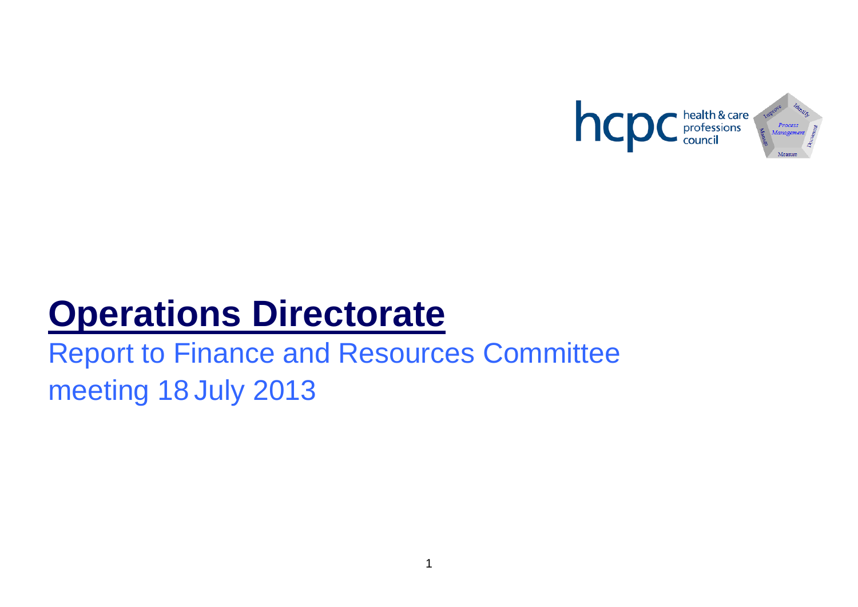

# **Operations Directorate**

# Report to Finance and Resources Committee meeting 18 July 2013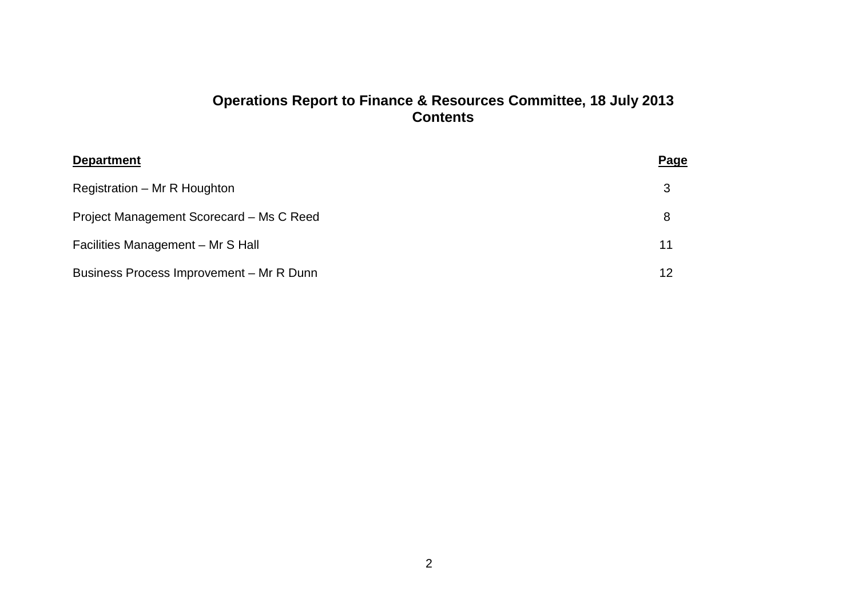# **Operations Report to Finance & Resources Committee, 18 July 2013 Contents**

| <b>Department</b>                        | Page |
|------------------------------------------|------|
| Registration – Mr R Houghton             | 3    |
| Project Management Scorecard - Ms C Reed | 8    |
| Facilities Management - Mr S Hall        | 11   |
| Business Process Improvement - Mr R Dunn | 12   |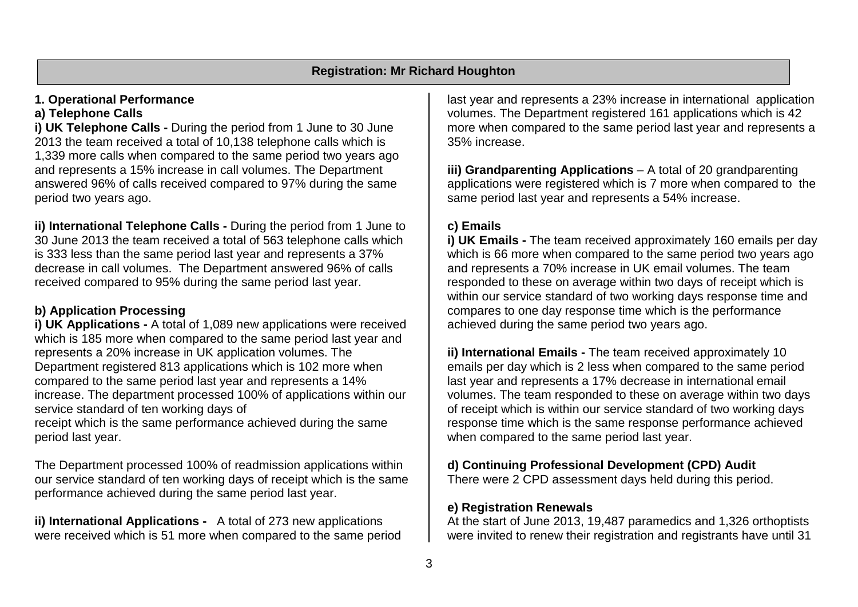#### **1. Operational Performance**

#### **a) Telephone Calls**

**i) UK Telephone Calls -** During the period from 1 June to 30 June 2013 the team received a total of 10,138 telephone calls which is 1,339 more calls when compared to the same period two years ago and represents a 15% increase in call volumes. The Department answered 96% of calls received compared to 97% during the same period two years ago.

**ii) International Telephone Calls -** During the period from 1 June to 30 June 2013 the team received a total of 563 telephone calls which is 333 less than the same period last year and represents a 37% decrease in call volumes. The Department answered 96% of calls received compared to 95% during the same period last year.

# **b) Application Processing**

**i) UK Applications -** A total of 1,089 new applications were received which is 185 more when compared to the same period last year and represents a 20% increase in UK application volumes. The Department registered 813 applications which is 102 more when compared to the same period last year and represents a 14% increase. The department processed 100% of applications within our service standard of ten working days of receipt which is the same performance achieved during the same

period last year. The Department processed 100% of readmission applications within

our service standard of ten working days of receipt which is the same performance achieved during the same period last year.

**ii) International Applications -** A total of 273 new applications were received which is 51 more when compared to the same period

last year and represents a 23% increase in international application volumes. The Department registered 161 applications which is 42 more when compared to the same period last year and represents a 35% increase.

**iii) Grandparenting Applications** – A total of 20 grandparenting applications were registered which is 7 more when compared to the same period last year and represents a 54% increase.

# **c) Emails**

**i) UK Emails -** The team received approximately 160 emails per day which is 66 more when compared to the same period two years ago and represents a 70% increase in UK email volumes. The team responded to these on average within two days of receipt which is within our service standard of two working days response time and compares to one day response time which is the performance achieved during the same period two years ago.

**ii) International Emails -** The team received approximately 10 emails per day which is 2 less when compared to the same period last year and represents a 17% decrease in international email volumes. The team responded to these on average within two days of receipt which is within our service standard of two working days response time which is the same response performance achieved when compared to the same period last year.

# **d) Continuing Professional Development (CPD) Audit**

There were 2 CPD assessment days held during this period.

#### **e) Registration Renewals**

At the start of June 2013, 19,487 paramedics and 1,326 orthoptists were invited to renew their registration and registrants have until 31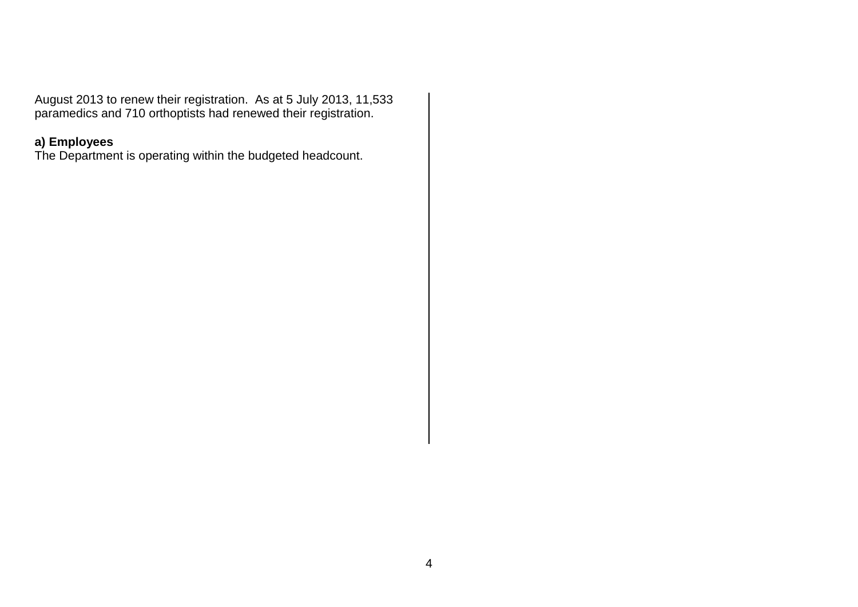August 2013 to renew their registration. As at 5 July 2013, 11,533 paramedics and 710 orthoptists had renewed their registration.

# **a) Employees**

The Department is operating within the budgeted headcount.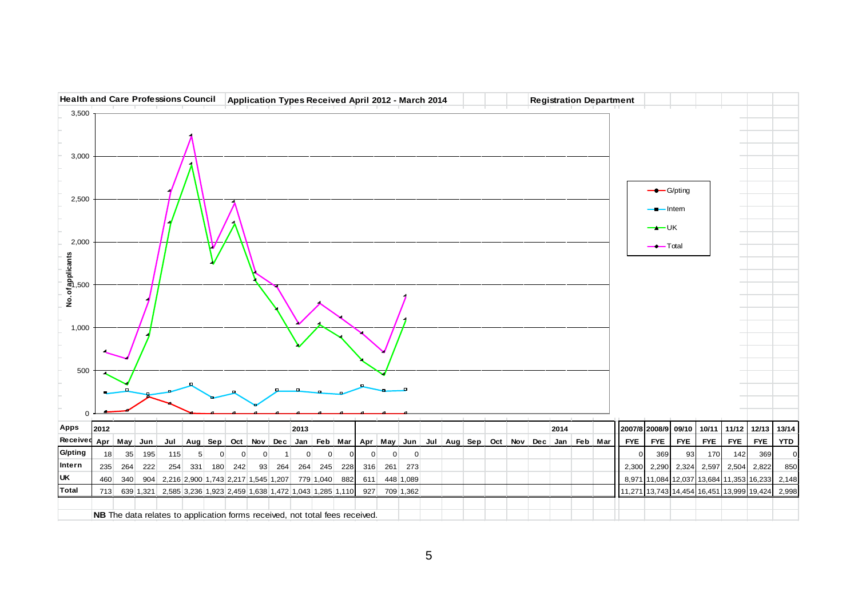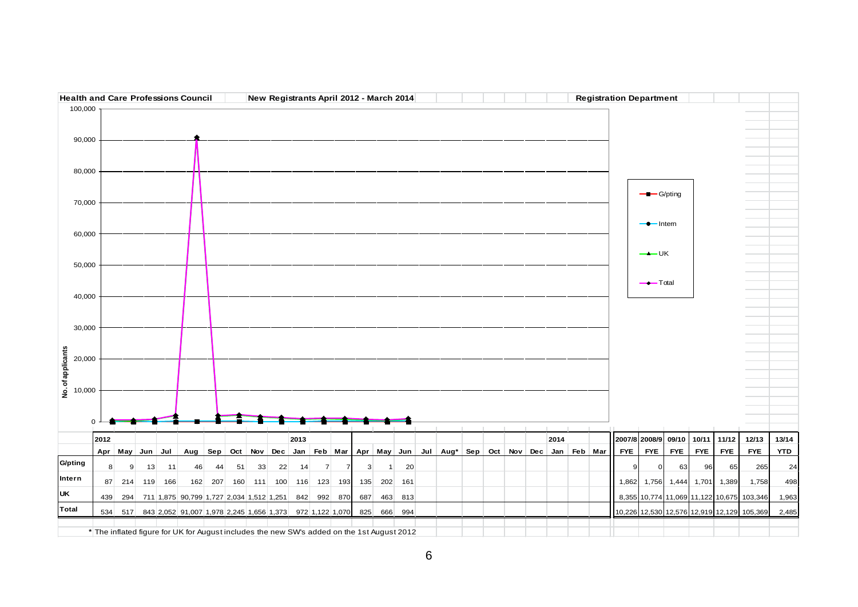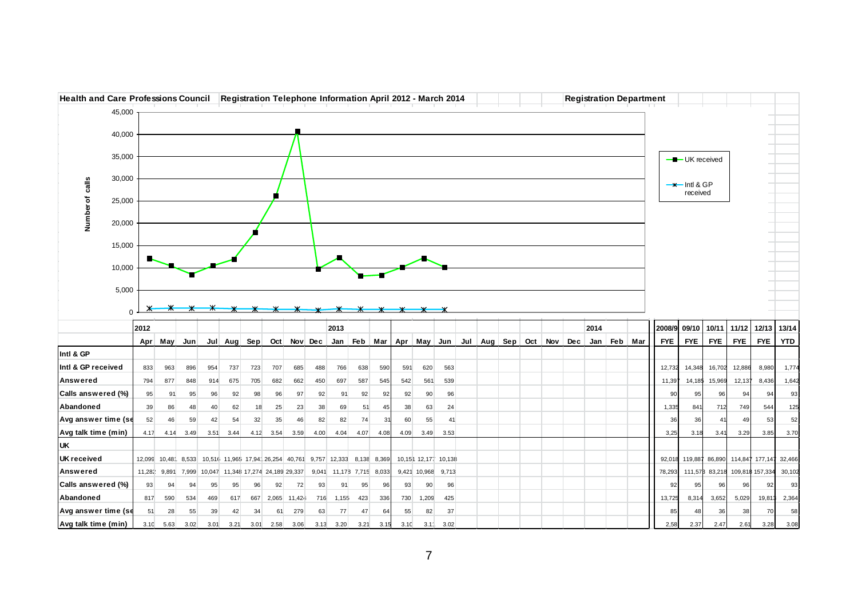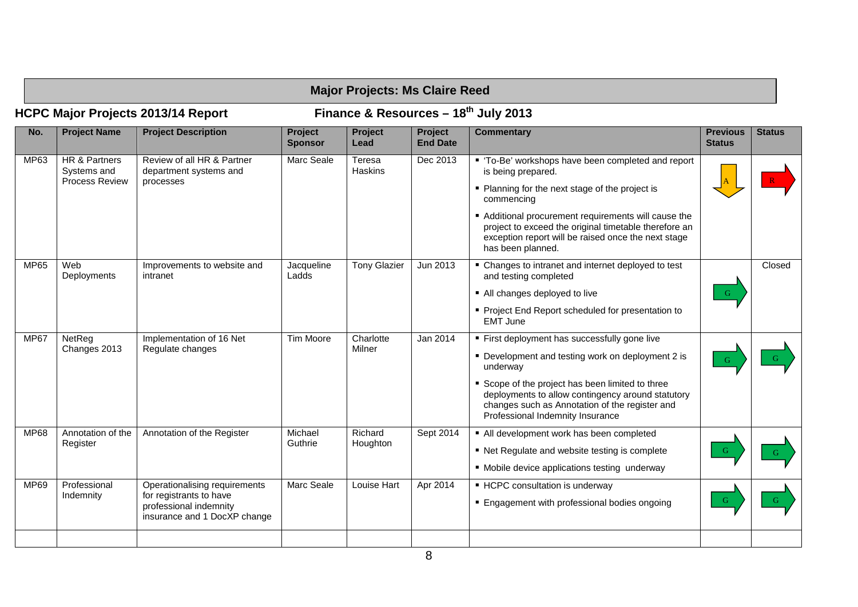|             | <b>Major Projects: Ms Claire Reed</b>                                             |                                                                                                                    |                           |                          |                            |                                                                                                                                                                                                                                                                                                                                      |                                  |               |  |  |
|-------------|-----------------------------------------------------------------------------------|--------------------------------------------------------------------------------------------------------------------|---------------------------|--------------------------|----------------------------|--------------------------------------------------------------------------------------------------------------------------------------------------------------------------------------------------------------------------------------------------------------------------------------------------------------------------------------|----------------------------------|---------------|--|--|
|             | Finance & Resources - 18th July 2013<br><b>HCPC Major Projects 2013/14 Report</b> |                                                                                                                    |                           |                          |                            |                                                                                                                                                                                                                                                                                                                                      |                                  |               |  |  |
| No.         | <b>Project Name</b>                                                               | <b>Project Description</b>                                                                                         | Project<br><b>Sponsor</b> | Project<br>Lead          | Project<br><b>End Date</b> | <b>Commentary</b>                                                                                                                                                                                                                                                                                                                    | <b>Previous</b><br><b>Status</b> | <b>Status</b> |  |  |
| MP63        | <b>HR &amp; Partners</b><br>Systems and<br>Process Review                         | Review of all HR & Partner<br>department systems and<br>processes                                                  | Marc Seale                | Teresa<br><b>Haskins</b> | Dec 2013                   | ■ 'To-Be' workshops have been completed and report<br>is being prepared.<br>• Planning for the next stage of the project is<br>commencing<br>Additional procurement requirements will cause the<br>project to exceed the original timetable therefore an<br>exception report will be raised once the next stage<br>has been planned. |                                  |               |  |  |
| <b>MP65</b> | Web<br>Deployments                                                                | Improvements to website and<br>intranet                                                                            | Jacqueline<br>Ladds       | <b>Tony Glazier</b>      | Jun 2013                   | • Changes to intranet and internet deployed to test<br>and testing completed<br>All changes deployed to live<br>Project End Report scheduled for presentation to<br><b>EMT June</b>                                                                                                                                                  | G                                | Closed        |  |  |
| <b>MP67</b> | NetReg<br>Changes 2013                                                            | Implementation of 16 Net<br>Regulate changes                                                                       | Tim Moore                 | Charlotte<br>Milner      | Jan 2014                   | First deployment has successfully gone live<br>• Development and testing work on deployment 2 is<br>underway<br>Scope of the project has been limited to three<br>deployments to allow contingency around statutory<br>changes such as Annotation of the register and<br>Professional Indemnity Insurance                            | G                                | G.            |  |  |
| MP68        | Annotation of the<br>Register                                                     | Annotation of the Register                                                                                         | Michael<br>Guthrie        | Richard<br>Houghton      | Sept 2014                  | All development work has been completed<br>■ Net Regulate and website testing is complete<br>• Mobile device applications testing underway                                                                                                                                                                                           | G                                |               |  |  |
| MP69        | Professional<br>Indemnity                                                         | Operationalising requirements<br>for registrants to have<br>professional indemnity<br>insurance and 1 DocXP change | Marc Seale                | Louise Hart              | Apr 2014                   | ■ HCPC consultation is underway<br><b>Engagement with professional bodies ongoing</b>                                                                                                                                                                                                                                                | G                                |               |  |  |
|             |                                                                                   |                                                                                                                    |                           |                          |                            |                                                                                                                                                                                                                                                                                                                                      |                                  |               |  |  |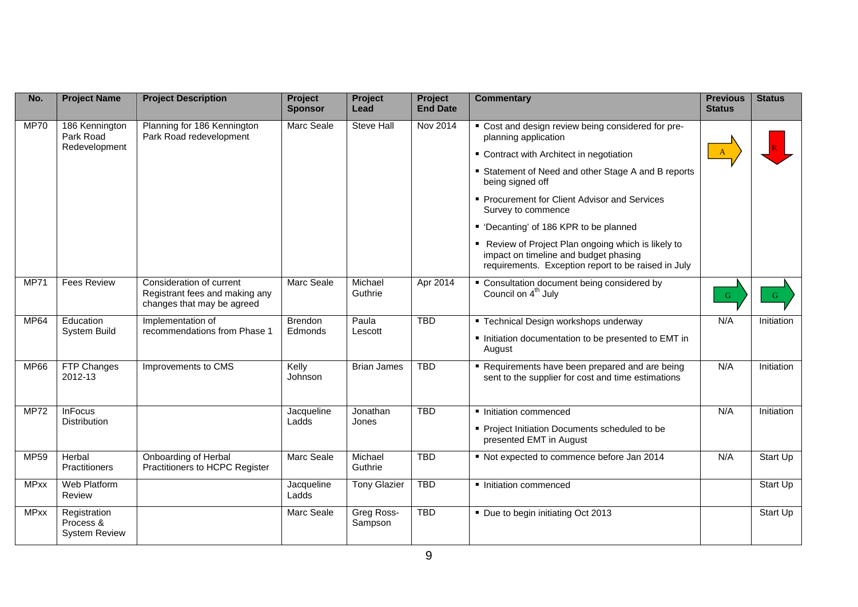| No.         | <b>Project Name</b>                               | <b>Project Description</b>                                                               | <b>Project</b><br><b>Sponsor</b> | <b>Project</b><br>Lead | <b>Project</b><br><b>End Date</b> | <b>Commentary</b>                                                                                                                                                                                                                                                                                                                                                                                                                                                     | <b>Previous</b><br><b>Status</b> | <b>Status</b> |
|-------------|---------------------------------------------------|------------------------------------------------------------------------------------------|----------------------------------|------------------------|-----------------------------------|-----------------------------------------------------------------------------------------------------------------------------------------------------------------------------------------------------------------------------------------------------------------------------------------------------------------------------------------------------------------------------------------------------------------------------------------------------------------------|----------------------------------|---------------|
| <b>MP70</b> | 186 Kennington<br>Park Road<br>Redevelopment      | Planning for 186 Kennington<br>Park Road redevelopment                                   | Marc Seale                       | <b>Steve Hall</b>      | Nov 2014                          | " Cost and design review being considered for pre-<br>planning application<br>• Contract with Architect in negotiation<br>Statement of Need and other Stage A and B reports<br>being signed off<br>Procurement for Client Advisor and Services<br>Survey to commence<br>• 'Decanting' of 186 KPR to be planned<br>■ Review of Project Plan ongoing which is likely to<br>impact on timeline and budget phasing<br>requirements. Exception report to be raised in July | $\mathbf{A}$                     |               |
| <b>MP71</b> | <b>Fees Review</b>                                | Consideration of current<br>Registrant fees and making any<br>changes that may be agreed | Marc Seale                       | Michael<br>Guthrie     | Apr 2014                          | Consultation document being considered by<br>Council on 4 <sup>th</sup> July                                                                                                                                                                                                                                                                                                                                                                                          | $\vert G \vert$                  | $\mathbf{G}$  |
| <b>MP64</b> | Education<br>System Build                         | Implementation of<br>recommendations from Phase 1                                        | <b>Brendon</b><br>Edmonds        | Paula<br>Lescott       | <b>TBD</b>                        | " Technical Design workshops underway<br>Initiation documentation to be presented to EMT in<br>August                                                                                                                                                                                                                                                                                                                                                                 | N/A                              | Initiation    |
| <b>MP66</b> | FTP Changes<br>2012-13                            | Improvements to CMS                                                                      | Kelly<br>Johnson                 | <b>Brian James</b>     | <b>TBD</b>                        | Requirements have been prepared and are being<br>sent to the supplier for cost and time estimations                                                                                                                                                                                                                                                                                                                                                                   | N/A                              | Initiation    |
| <b>MP72</b> | <b>InFocus</b><br><b>Distribution</b>             |                                                                                          | Jacqueline<br>Ladds              | Jonathan<br>Jones      | <b>TBD</b>                        | Initiation commenced<br>Project Initiation Documents scheduled to be<br>presented EMT in August                                                                                                                                                                                                                                                                                                                                                                       | N/A                              | Initiation    |
| MP59        | Herbal<br>Practitioners                           | Onboarding of Herbal<br>Practitioners to HCPC Register                                   | Marc Seale                       | Michael<br>Guthrie     | <b>TBD</b>                        | Not expected to commence before Jan 2014                                                                                                                                                                                                                                                                                                                                                                                                                              | N/A                              | Start Up      |
| <b>MPxx</b> | Web Platform<br>Review                            |                                                                                          | Jacqueline<br>Ladds              | <b>Tony Glazier</b>    | <b>TBD</b>                        | Initiation commenced                                                                                                                                                                                                                                                                                                                                                                                                                                                  |                                  | Start Up      |
| <b>MPxx</b> | Registration<br>Process &<br><b>System Review</b> |                                                                                          | Marc Seale                       | Greg Ross-<br>Sampson  | <b>TBD</b>                        | • Due to begin initiating Oct 2013                                                                                                                                                                                                                                                                                                                                                                                                                                    |                                  | Start Up      |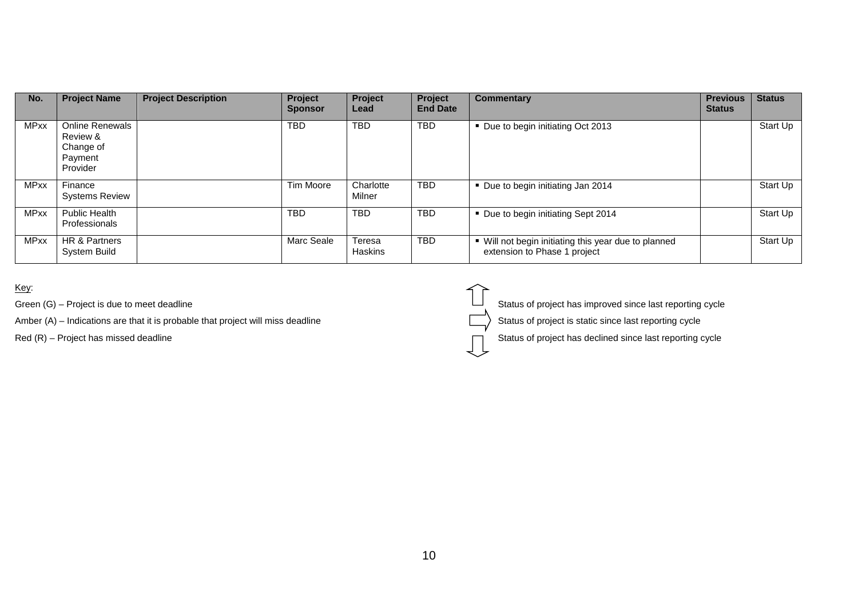| No.         | <b>Project Name</b>                                                    | <b>Project Description</b> | Project<br><b>Sponsor</b> | Project<br>Lead          | Project<br><b>End Date</b> | Commentary                                                                           | <b>Previous</b><br><b>Status</b> | <b>Status</b> |
|-------------|------------------------------------------------------------------------|----------------------------|---------------------------|--------------------------|----------------------------|--------------------------------------------------------------------------------------|----------------------------------|---------------|
| <b>MPxx</b> | <b>Online Renewals</b><br>Review &<br>Change of<br>Payment<br>Provider |                            | <b>TBD</b>                | <b>TBD</b>               | <b>TBD</b>                 | ■ Due to begin initiating Oct 2013                                                   |                                  | Start Up      |
| <b>MPxx</b> | Finance<br><b>Systems Review</b>                                       |                            | Tim Moore                 | Charlotte<br>Milner      | <b>TBD</b>                 | • Due to begin initiating Jan 2014                                                   |                                  | Start Up      |
| <b>MPxx</b> | <b>Public Health</b><br>Professionals                                  |                            | TBD                       | <b>TBD</b>               | <b>TBD</b>                 | Due to begin initiating Sept 2014                                                    |                                  | Start Up      |
| <b>MPxx</b> | HR & Partners<br><b>System Build</b>                                   |                            | Marc Seale                | Teresa<br><b>Haskins</b> | <b>TBD</b>                 | ■ Will not begin initiating this year due to planned<br>extension to Phase 1 project |                                  | Start Up      |

Key:

Green  $(G)$  – Project is due to meet deadline

Amber (A) – Indications are that it is probable that project will miss deadline

 $Red(R)$  – Project has missed deadline

| Status of project has improved since last reporting cycle |
|-----------------------------------------------------------|
| Status of project is static since last reporting cycle    |
| Status of project has declined since last reporting cycle |
|                                                           |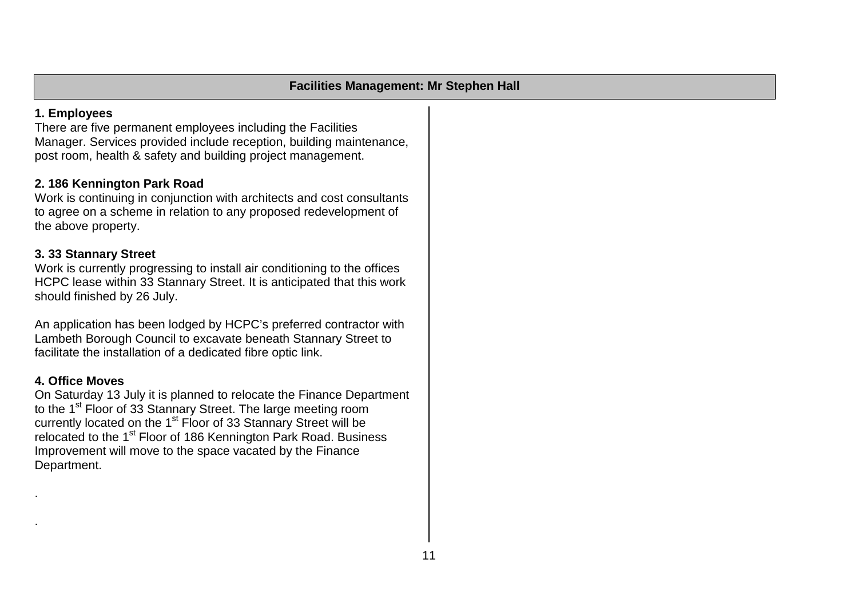#### **1. Employees**

There are five permanent employees including the Facilities Manager. Services provided include reception, building maintenance, post room, health & safety and building project management.

# **2. 186 Kennington Park Road**

Work is continuing in conjunction with architects and cost consultants to agree on a scheme in relation to any proposed redevelopment of the above property.

# **3. 33 Stannary Street**

Work is currently progressing to install air conditioning to the offices HCPC lease within 33 Stannary Street. It is anticipated that this work should finished by 26 July.

An application has been lodged by HCPC's preferred contractor with Lambeth Borough Council to excavate beneath Stannary Street to facilitate the installation of a dedicated fibre optic link.

#### **4. Office Moves**

.

.

On Saturday 13 July it is planned to relocate the Finance Department to the 1<sup>st</sup> Floor of 33 Stannary Street. The large meeting room currently located on the 1<sup>st</sup> Floor of 33 Stannary Street will be relocated to the 1<sup>st</sup> Floor of 186 Kennington Park Road. Business Improvement will move to the space vacated by the Finance Department.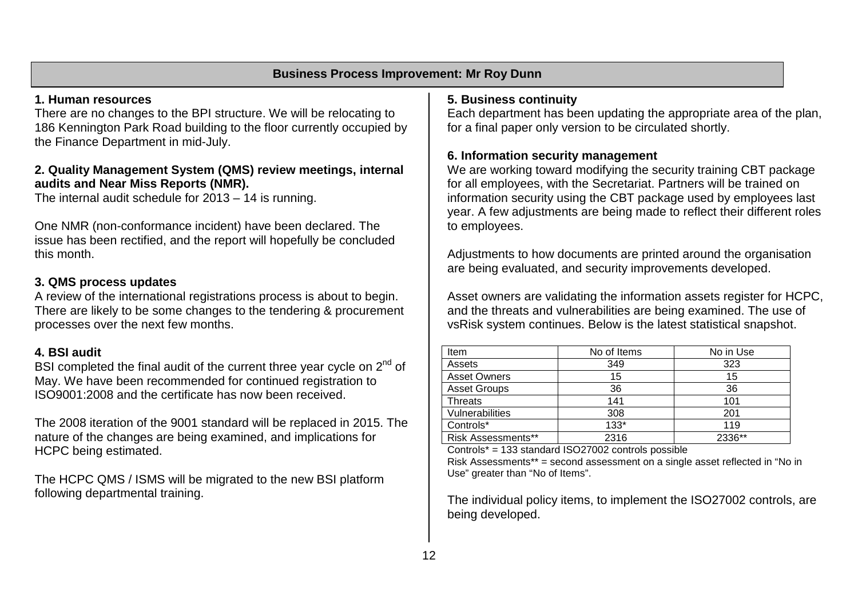#### **Business Process Improvement: Mr Roy Dunn**

#### **1. Human resources**

There are no changes to the BPI structure. We will be relocating to 186 Kennington Park Road building to the floor currently occupied by the Finance Department in mid-July.

#### **2. Quality Management System (QMS) review meetings, internal audits and Near Miss Reports (NMR).**

The internal audit schedule for 2013 – 14 is running.

One NMR (non-conformance incident) have been declared. The issue has been rectified, and the report will hopefully be concluded this month.

#### **3. QMS process updates**

A review of the international registrations process is about to begin. There are likely to be some changes to the tendering & procurement processes over the next few months.

#### **4. BSI audit**

BSI completed the final audit of the current three year cycle on  $2<sup>nd</sup>$  of May. We have been recommended for continued registration to ISO9001:2008 and the certificate has now been received.

The 2008 iteration of the 9001 standard will be replaced in 2015. The nature of the changes are being examined, and implications for HCPC being estimated.

The HCPC QMS / ISMS will be migrated to the new BSI platform following departmental training.

#### **5. Business continuity**

Each department has been updating the appropriate area of the plan, for a final paper only version to be circulated shortly.

#### **6. Information security management**

We are working toward modifying the security training CBT package for all employees, with the Secretariat. Partners will be trained on information security using the CBT package used by employees last year. A few adjustments are being made to reflect their different roles to employees.

Adjustments to how documents are printed around the organisation are being evaluated, and security improvements developed.

Asset owners are validating the information assets register for HCPC, and the threats and vulnerabilities are being examined. The use of vsRisk system continues. Below is the latest statistical snapshot.

| Item                      | No of Items | No in Use |
|---------------------------|-------------|-----------|
| Assets                    | 349         | 323       |
| <b>Asset Owners</b>       | 15          | 15        |
| <b>Asset Groups</b>       | 36          | 36        |
| <b>Threats</b>            | 141         | 101       |
| Vulnerabilities           | 308         | 201       |
| Controls*                 | $133*$      | 119       |
| <b>Risk Assessments**</b> | 2316        | 2336**    |

Controls\* = 133 standard ISO27002 controls possible

Risk Assessments\*\* = second assessment on a single asset reflected in "No in Use" greater than "No of Items".

The individual policy items, to implement the ISO27002 controls, are being developed.